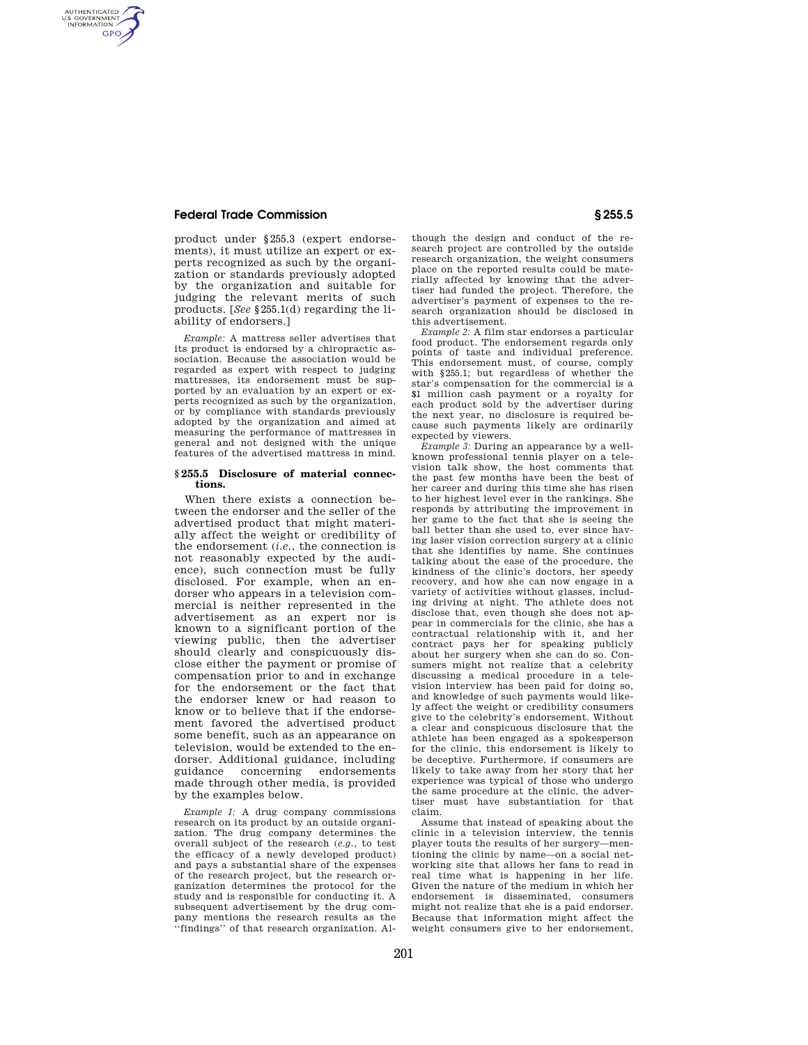## **Federal Trade Commission § 255.5**

AUTHENTICATED<br>U.S. GOVERNMENT<br>INFORMATION **GPO** 

> product under §255.3 (expert endorsements), it must utilize an expert or experts recognized as such by the organization or standards previously adopted by the organization and suitable for judging the relevant merits of such products. [*See* §255.1(d) regarding the liability of endorsers.]

> *Example:* A mattress seller advertises that its product is endorsed by a chiropractic association. Because the association would be regarded as expert with respect to judging mattresses, its endorsement must be supported by an evaluation by an expert or experts recognized as such by the organization, or by compliance with standards previously adopted by the organization and aimed at measuring the performance of mattresses in general and not designed with the unique features of the advertised mattress in mind.

#### **§ 255.5 Disclosure of material connections.**

When there exists a connection between the endorser and the seller of the advertised product that might materially affect the weight or credibility of the endorsement (*i.e.*, the connection is not reasonably expected by the audience), such connection must be fully disclosed. For example, when an endorser who appears in a television commercial is neither represented in the advertisement as an expert nor is known to a significant portion of the viewing public, then the advertiser should clearly and conspicuously disclose either the payment or promise of compensation prior to and in exchange for the endorsement or the fact that the endorser knew or had reason to know or to believe that if the endorsement favored the advertised product some benefit, such as an appearance on television, would be extended to the endorser. Additional guidance, including guidance concerning endorsements made through other media, is provided by the examples below.

*Example 1:* A drug company commissions research on its product by an outside organization. The drug company determines the overall subject of the research (*e.g.*, to test the efficacy of a newly developed product) and pays a substantial share of the expenses of the research project, but the research organization determines the protocol for the study and is responsible for conducting it. A subsequent advertisement by the drug company mentions the research results as the 'findings'' of that research organization. Although the design and conduct of the research project are controlled by the outside research organization, the weight consumers place on the reported results could be materially affected by knowing that the advertiser had funded the project. Therefore, the advertiser's payment of expenses to the research organization should be disclosed in this advertisement.

*Example 2:* A film star endorses a particular food product. The endorsement regards only points of taste and individual preference. This endorsement must, of course, comply with §255.1; but regardless of whether the star's compensation for the commercial is a \$1 million cash payment or a royalty for each product sold by the advertiser during the next year, no disclosure is required because such payments likely are ordinarily expected by viewers.

*Example 3:* During an appearance by a wellknown professional tennis player on a television talk show, the host comments that the past few months have been the best of her career and during this time she has risen to her highest level ever in the rankings. She responds by attributing the improvement in her game to the fact that she is seeing the ball better than she used to, ever since having laser vision correction surgery at a clinic that she identifies by name. She continues talking about the ease of the procedure, the kindness of the clinic's doctors, her speedy recovery, and how she can now engage in a variety of activities without glasses, including driving at night. The athlete does not disclose that, even though she does not appear in commercials for the clinic, she has a contractual relationship with it, and her contract pays her for speaking publicly about her surgery when she can do so. Consumers might not realize that a celebrity discussing a medical procedure in a television interview has been paid for doing so, and knowledge of such payments would likely affect the weight or credibility consumers give to the celebrity's endorsement. Without a clear and conspicuous disclosure that the athlete has been engaged as a spokesperson for the clinic, this endorsement is likely to be deceptive. Furthermore, if consumers are likely to take away from her story that her experience was typical of those who undergo the same procedure at the clinic, the advertiser must have substantiation for that claim.

Assume that instead of speaking about the clinic in a television interview, the tennis player touts the results of her surgery—mentioning the clinic by name—on a social networking site that allows her fans to read in real time what is happening in her life. Given the nature of the medium in which her endorsement is disseminated, consumers might not realize that she is a paid endorser. Because that information might affect the weight consumers give to her endorsement,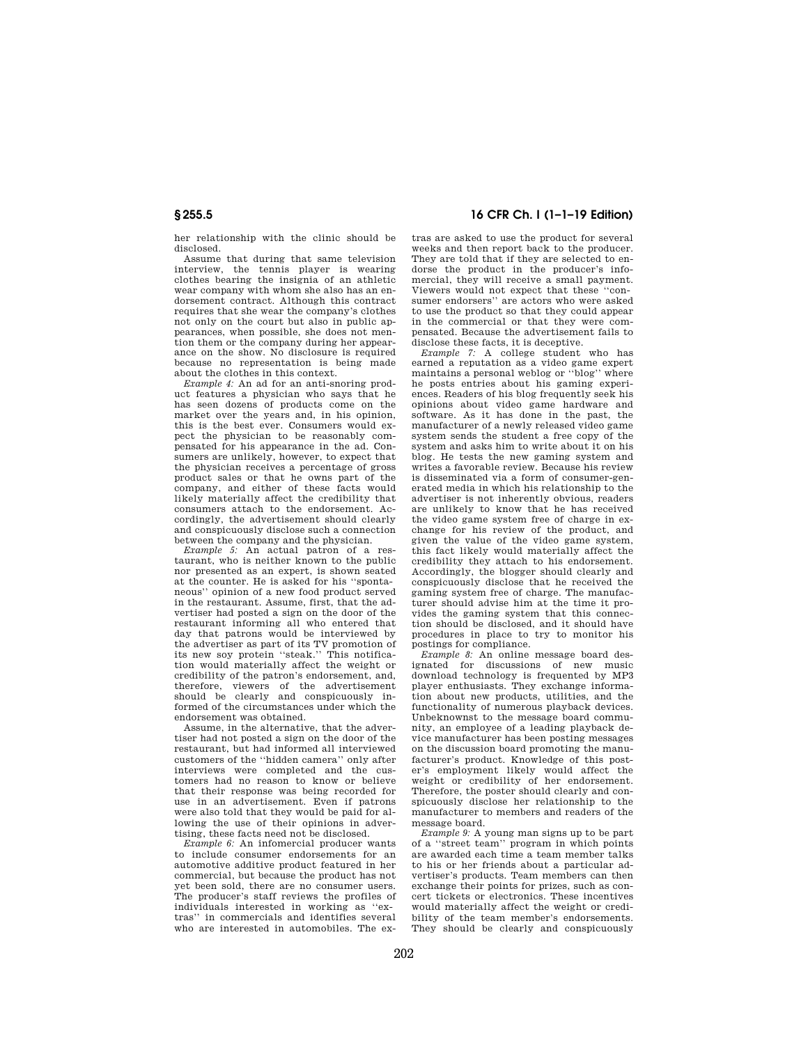her relationship with the clinic should be disclosed.

Assume that during that same television interview, the tennis player is wearing clothes bearing the insignia of an athletic wear company with whom she also has an endorsement contract. Although this contract requires that she wear the company's clothes not only on the court but also in public appearances, when possible, she does not mention them or the company during her appearance on the show. No disclosure is required because no representation is being made about the clothes in this context.

*Example 4:* An ad for an anti-snoring product features a physician who says that he has seen dozens of products come on the market over the years and, in his opinion, this is the best ever. Consumers would expect the physician to be reasonably compensated for his appearance in the ad. Consumers are unlikely, however, to expect that the physician receives a percentage of gross product sales or that he owns part of the company, and either of these facts would likely materially affect the credibility that consumers attach to the endorsement. Accordingly, the advertisement should clearly and conspicuously disclose such a connection between the company and the physician.

*Example 5:* An actual patron of a restaurant, who is neither known to the public nor presented as an expert, is shown seated at the counter. He is asked for his ''spontaneous'' opinion of a new food product served in the restaurant. Assume, first, that the advertiser had posted a sign on the door of the restaurant informing all who entered that day that patrons would be interviewed by the advertiser as part of its TV promotion of its new soy protein ''steak.'' This notification would materially affect the weight or credibility of the patron's endorsement, and, therefore, viewers of the advertisement should be clearly and conspicuously informed of the circumstances under which the endorsement was obtained.

Assume, in the alternative, that the advertiser had not posted a sign on the door of the restaurant, but had informed all interviewed customers of the ''hidden camera'' only after interviews were completed and the customers had no reason to know or believe that their response was being recorded for use in an advertisement. Even if patrons were also told that they would be paid for allowing the use of their opinions in advertising, these facts need not be disclosed.

*Example 6:* An infomercial producer wants to include consumer endorsements for an automotive additive product featured in her commercial, but because the product has not yet been sold, there are no consumer users. The producer's staff reviews the profiles of individuals interested in working as ''extras'' in commercials and identifies several who are interested in automobiles. The ex-

# **§ 255.5 16 CFR Ch. I (1–1–19 Edition)**

tras are asked to use the product for several weeks and then report back to the producer. They are told that if they are selected to endorse the product in the producer's infomercial, they will receive a small payment. Viewers would not expect that these ''consumer endorsers'' are actors who were asked to use the product so that they could appear in the commercial or that they were compensated. Because the advertisement fails to disclose these facts, it is deceptive.

*Example 7:* A college student who has earned a reputation as a video game expert maintains a personal weblog or ''blog'' where he posts entries about his gaming experiences. Readers of his blog frequently seek his opinions about video game hardware and software. As it has done in the past, the manufacturer of a newly released video game system sends the student a free copy of the system and asks him to write about it on his blog. He tests the new gaming system and writes a favorable review. Because his review is disseminated via a form of consumer-generated media in which his relationship to the advertiser is not inherently obvious, readers are unlikely to know that he has received the video game system free of charge in exchange for his review of the product, and given the value of the video game system, this fact likely would materially affect the credibility they attach to his endorsement. Accordingly, the blogger should clearly and conspicuously disclose that he received the gaming system free of charge. The manufacturer should advise him at the time it provides the gaming system that this connection should be disclosed, and it should have procedures in place to try to monitor his postings for compliance.

*Example 8:* An online message board designated for discussions of new music download technology is frequented by MP3 player enthusiasts. They exchange information about new products, utilities, and the functionality of numerous playback devices. Unbeknownst to the message board community, an employee of a leading playback device manufacturer has been posting messages on the discussion board promoting the manufacturer's product. Knowledge of this poster's employment likely would affect the weight or credibility of her endorsement. Therefore, the poster should clearly and conspicuously disclose her relationship to the manufacturer to members and readers of the message board.

*Example 9:* A young man signs up to be part of a ''street team'' program in which points are awarded each time a team member talks to his or her friends about a particular advertiser's products. Team members can then exchange their points for prizes, such as concert tickets or electronics. These incentives would materially affect the weight or credibility of the team member's endorsements. They should be clearly and conspicuously